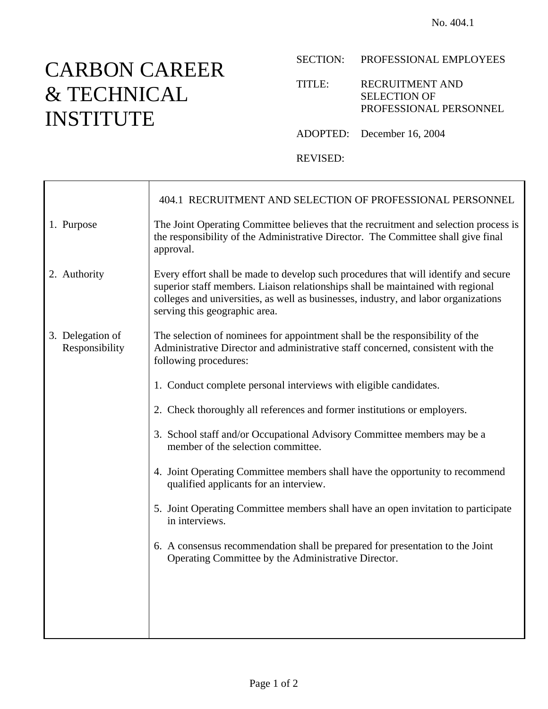## CARBON CAREER & TECHNICAL INSTITUTE

SECTION: PROFESSIONAL EMPLOYEES

TITLE: RECRUITMENT AND SELECTION OF PROFESSIONAL PERSONNEL

ADOPTED: December 16, 2004

REVISED:

|                                    | 404.1 RECRUITMENT AND SELECTION OF PROFESSIONAL PERSONNEL                                                                                                                                                                                                                                      |
|------------------------------------|------------------------------------------------------------------------------------------------------------------------------------------------------------------------------------------------------------------------------------------------------------------------------------------------|
| 1. Purpose                         | The Joint Operating Committee believes that the recruitment and selection process is<br>the responsibility of the Administrative Director. The Committee shall give final<br>approval.                                                                                                         |
| 2. Authority                       | Every effort shall be made to develop such procedures that will identify and secure<br>superior staff members. Liaison relationships shall be maintained with regional<br>colleges and universities, as well as businesses, industry, and labor organizations<br>serving this geographic area. |
| 3. Delegation of<br>Responsibility | The selection of nominees for appointment shall be the responsibility of the<br>Administrative Director and administrative staff concerned, consistent with the<br>following procedures:                                                                                                       |
|                                    | 1. Conduct complete personal interviews with eligible candidates.                                                                                                                                                                                                                              |
|                                    | 2. Check thoroughly all references and former institutions or employers.                                                                                                                                                                                                                       |
|                                    | 3. School staff and/or Occupational Advisory Committee members may be a<br>member of the selection committee.                                                                                                                                                                                  |
|                                    | 4. Joint Operating Committee members shall have the opportunity to recommend<br>qualified applicants for an interview.                                                                                                                                                                         |
|                                    | 5. Joint Operating Committee members shall have an open invitation to participate<br>in interviews.                                                                                                                                                                                            |
|                                    | 6. A consensus recommendation shall be prepared for presentation to the Joint<br>Operating Committee by the Administrative Director.                                                                                                                                                           |
|                                    |                                                                                                                                                                                                                                                                                                |
|                                    |                                                                                                                                                                                                                                                                                                |
|                                    |                                                                                                                                                                                                                                                                                                |